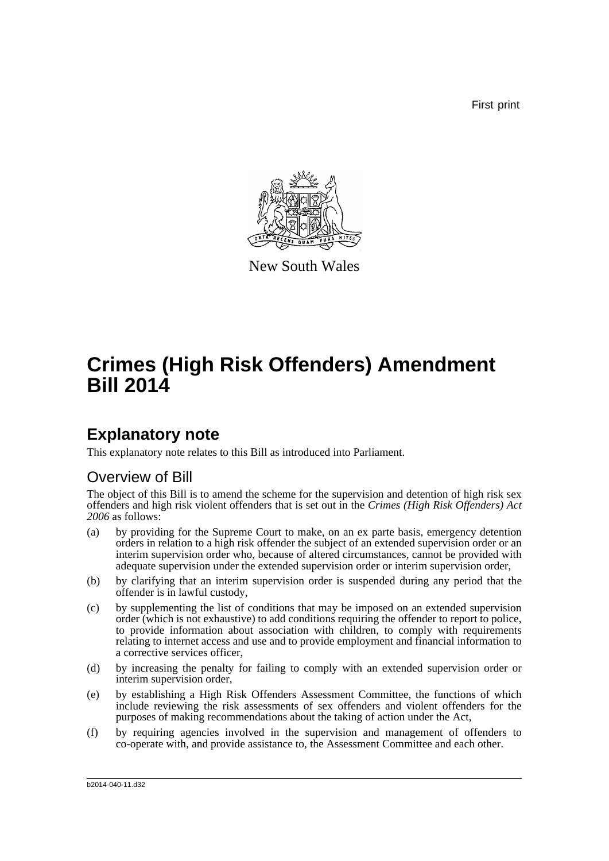First print



New South Wales

# **Crimes (High Risk Offenders) Amendment Bill 2014**

## **Explanatory note**

This explanatory note relates to this Bill as introduced into Parliament.

### Overview of Bill

The object of this Bill is to amend the scheme for the supervision and detention of high risk sex offenders and high risk violent offenders that is set out in the *Crimes (High Risk Offenders) Act 2006* as follows:

- (a) by providing for the Supreme Court to make, on an ex parte basis, emergency detention orders in relation to a high risk offender the subject of an extended supervision order or an interim supervision order who, because of altered circumstances, cannot be provided with adequate supervision under the extended supervision order or interim supervision order,
- (b) by clarifying that an interim supervision order is suspended during any period that the offender is in lawful custody,
- (c) by supplementing the list of conditions that may be imposed on an extended supervision order (which is not exhaustive) to add conditions requiring the offender to report to police, to provide information about association with children, to comply with requirements relating to internet access and use and to provide employment and financial information to a corrective services officer,
- (d) by increasing the penalty for failing to comply with an extended supervision order or interim supervision order,
- (e) by establishing a High Risk Offenders Assessment Committee, the functions of which include reviewing the risk assessments of sex offenders and violent offenders for the purposes of making recommendations about the taking of action under the Act,
- (f) by requiring agencies involved in the supervision and management of offenders to co-operate with, and provide assistance to, the Assessment Committee and each other.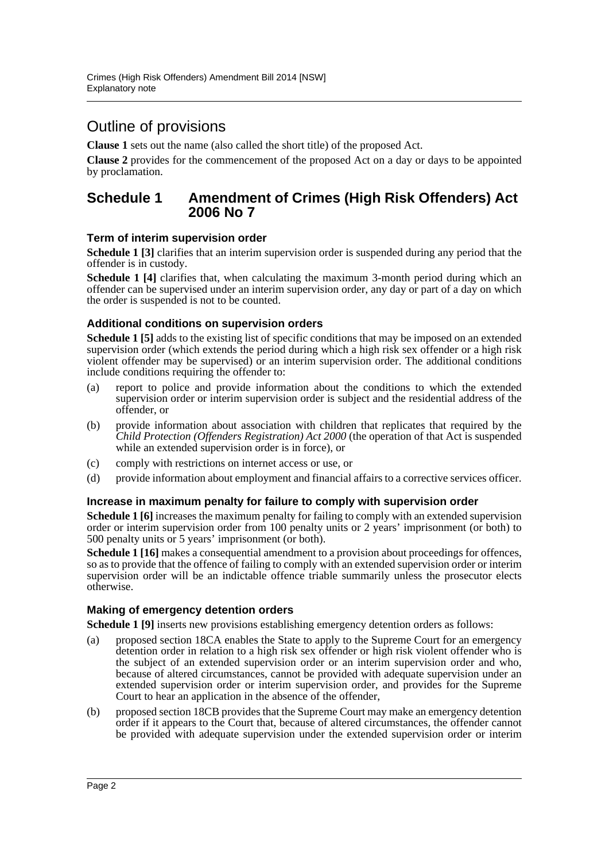### Outline of provisions

**Clause 1** sets out the name (also called the short title) of the proposed Act.

**Clause 2** provides for the commencement of the proposed Act on a day or days to be appointed by proclamation.

#### **Schedule 1 Amendment of Crimes (High Risk Offenders) Act 2006 No 7**

#### **Term of interim supervision order**

**Schedule 1** [3] clarifies that an interim supervision order is suspended during any period that the offender is in custody.

**Schedule 1 [4]** clarifies that, when calculating the maximum 3-month period during which an offender can be supervised under an interim supervision order, any day or part of a day on which the order is suspended is not to be counted.

#### **Additional conditions on supervision orders**

**Schedule 1 [5]** adds to the existing list of specific conditions that may be imposed on an extended supervision order (which extends the period during which a high risk sex offender or a high risk violent offender may be supervised) or an interim supervision order. The additional conditions include conditions requiring the offender to:

- (a) report to police and provide information about the conditions to which the extended supervision order or interim supervision order is subject and the residential address of the offender, or
- (b) provide information about association with children that replicates that required by the *Child Protection (Offenders Registration) Act 2000* (the operation of that Act is suspended while an extended supervision order is in force), or
- (c) comply with restrictions on internet access or use, or
- (d) provide information about employment and financial affairs to a corrective services officer.

#### **Increase in maximum penalty for failure to comply with supervision order**

**Schedule 1 [6]** increases the maximum penalty for failing to comply with an extended supervision order or interim supervision order from 100 penalty units or 2 years' imprisonment (or both) to 500 penalty units or 5 years' imprisonment (or both).

**Schedule 1 [16]** makes a consequential amendment to a provision about proceedings for offences, so as to provide that the offence of failing to comply with an extended supervision order or interim supervision order will be an indictable offence triable summarily unless the prosecutor elects otherwise.

#### **Making of emergency detention orders**

**Schedule 1 [9]** inserts new provisions establishing emergency detention orders as follows:

- (a) proposed section 18CA enables the State to apply to the Supreme Court for an emergency detention order in relation to a high risk sex offender or high risk violent offender who is the subject of an extended supervision order or an interim supervision order and who, because of altered circumstances, cannot be provided with adequate supervision under an extended supervision order or interim supervision order, and provides for the Supreme Court to hear an application in the absence of the offender,
- (b) proposed section 18CB provides that the Supreme Court may make an emergency detention order if it appears to the Court that, because of altered circumstances, the offender cannot be provided with adequate supervision under the extended supervision order or interim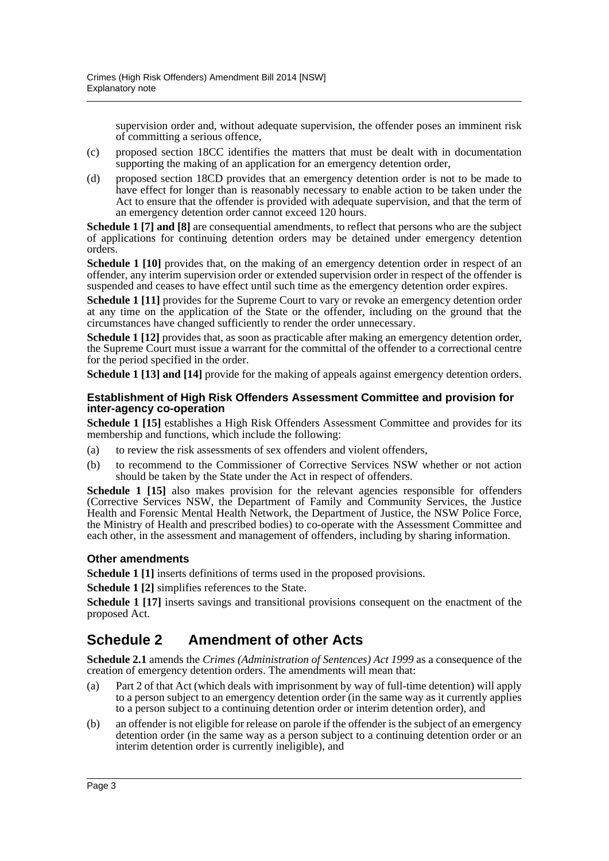supervision order and, without adequate supervision, the offender poses an imminent risk of committing a serious offence,

- (c) proposed section 18CC identifies the matters that must be dealt with in documentation supporting the making of an application for an emergency detention order,
- (d) proposed section 18CD provides that an emergency detention order is not to be made to have effect for longer than is reasonably necessary to enable action to be taken under the Act to ensure that the offender is provided with adequate supervision, and that the term of an emergency detention order cannot exceed 120 hours.

**Schedule 1 [7] and [8]** are consequential amendments, to reflect that persons who are the subject of applications for continuing detention orders may be detained under emergency detention orders.

**Schedule 1 [10]** provides that, on the making of an emergency detention order in respect of an offender, any interim supervision order or extended supervision order in respect of the offender is suspended and ceases to have effect until such time as the emergency detention order expires.

**Schedule 1 [11]** provides for the Supreme Court to vary or revoke an emergency detention order at any time on the application of the State or the offender, including on the ground that the circumstances have changed sufficiently to render the order unnecessary.

**Schedule 1 [12]** provides that, as soon as practicable after making an emergency detention order, the Supreme Court must issue a warrant for the committal of the offender to a correctional centre for the period specified in the order.

**Schedule 1 [13] and [14]** provide for the making of appeals against emergency detention orders.

#### **Establishment of High Risk Offenders Assessment Committee and provision for inter-agency co-operation**

**Schedule 1 [15]** establishes a High Risk Offenders Assessment Committee and provides for its membership and functions, which include the following:

- (a) to review the risk assessments of sex offenders and violent offenders,
- (b) to recommend to the Commissioner of Corrective Services NSW whether or not action should be taken by the State under the Act in respect of offenders.

**Schedule 1 [15]** also makes provision for the relevant agencies responsible for offenders (Corrective Services NSW, the Department of Family and Community Services, the Justice Health and Forensic Mental Health Network, the Department of Justice, the NSW Police Force, the Ministry of Health and prescribed bodies) to co-operate with the Assessment Committee and each other, in the assessment and management of offenders, including by sharing information.

#### **Other amendments**

**Schedule 1** [1] inserts definitions of terms used in the proposed provisions.

**Schedule 1 [2]** simplifies references to the State.

**Schedule 1 [17]** inserts savings and transitional provisions consequent on the enactment of the proposed Act.

### **Schedule 2 Amendment of other Acts**

**Schedule 2.1** amends the *Crimes (Administration of Sentences) Act 1999* as a consequence of the creation of emergency detention orders. The amendments will mean that:

- (a) Part 2 of that Act (which deals with imprisonment by way of full-time detention) will apply to a person subject to an emergency detention order (in the same way as it currently applies to a person subject to a continuing detention order or interim detention order), and
- (b) an offender is not eligible for release on parole if the offender is the subject of an emergency detention order (in the same way as a person subject to a continuing detention order or an interim detention order is currently ineligible), and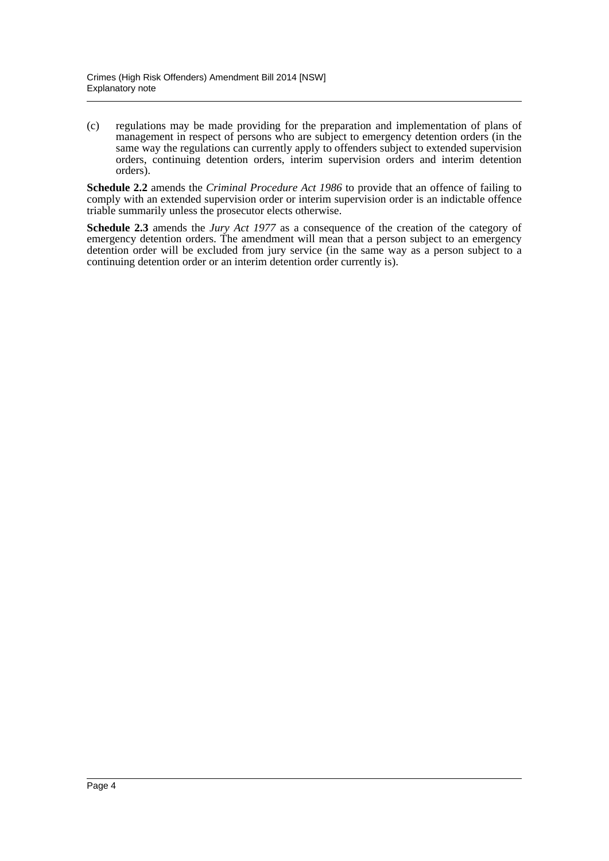(c) regulations may be made providing for the preparation and implementation of plans of management in respect of persons who are subject to emergency detention orders (in the same way the regulations can currently apply to offenders subject to extended supervision orders, continuing detention orders, interim supervision orders and interim detention orders).

**Schedule 2.2** amends the *Criminal Procedure Act 1986* to provide that an offence of failing to comply with an extended supervision order or interim supervision order is an indictable offence triable summarily unless the prosecutor elects otherwise.

**Schedule 2.3** amends the *Jury Act 1977* as a consequence of the creation of the category of emergency detention orders. The amendment will mean that a person subject to an emergency detention order will be excluded from jury service (in the same way as a person subject to a continuing detention order or an interim detention order currently is).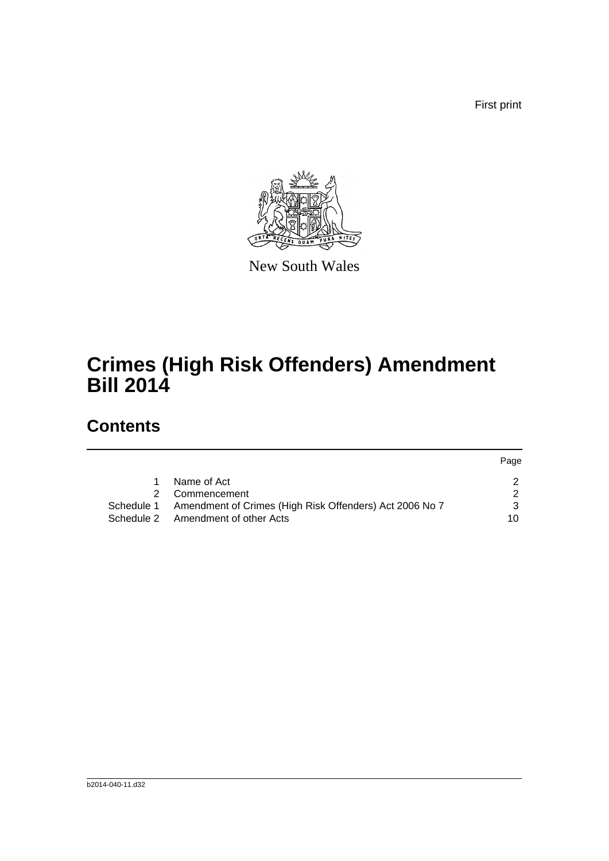First print



New South Wales

# **Crimes (High Risk Offenders) Amendment Bill 2014**

## **Contents**

|    |                                                                    | Page |
|----|--------------------------------------------------------------------|------|
| 1. | Name of Act                                                        |      |
|    | Commencement                                                       |      |
|    | Schedule 1 Amendment of Crimes (High Risk Offenders) Act 2006 No 7 |      |
|    | Schedule 2 Amendment of other Acts                                 | 10   |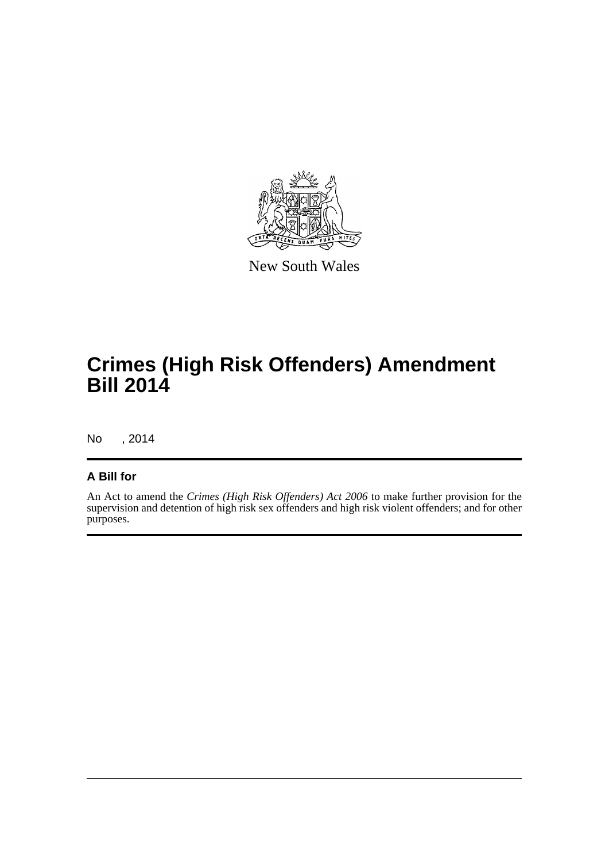

New South Wales

# **Crimes (High Risk Offenders) Amendment Bill 2014**

No , 2014

#### **A Bill for**

An Act to amend the *Crimes (High Risk Offenders) Act 2006* to make further provision for the supervision and detention of high risk sex offenders and high risk violent offenders; and for other purposes.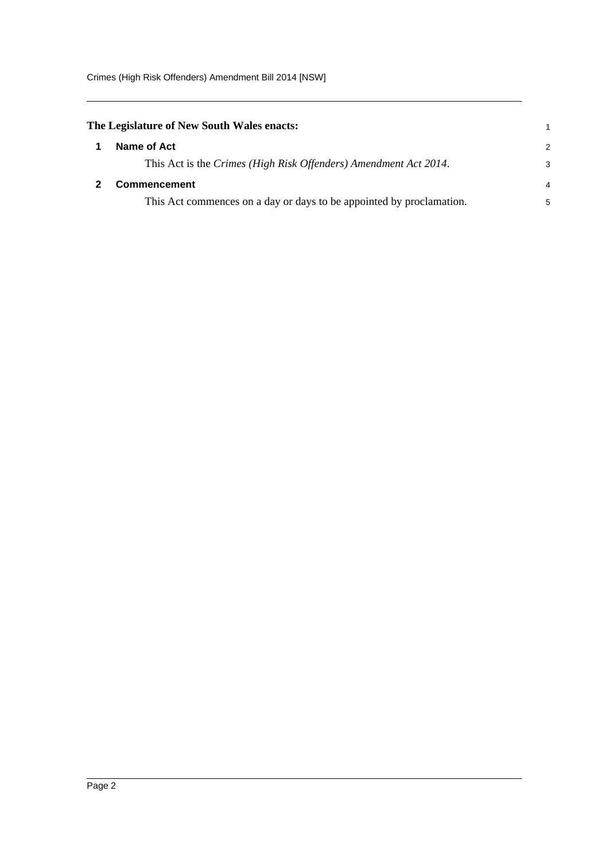<span id="page-6-1"></span><span id="page-6-0"></span>

| The Legislature of New South Wales enacts:                           |               |
|----------------------------------------------------------------------|---------------|
| Name of Act                                                          | $\mathcal{P}$ |
| This Act is the Crimes (High Risk Offenders) Amendment Act 2014.     | 3             |
| <b>Commencement</b>                                                  | 4             |
| This Act commences on a day or days to be appointed by proclamation. | 5             |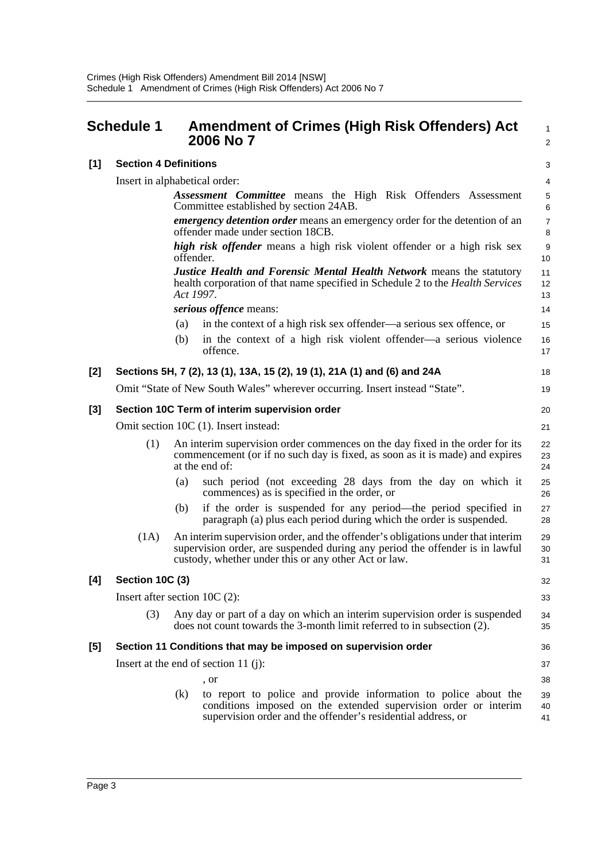<span id="page-7-0"></span>

|       | <b>Schedule 1</b>               |           | <b>Amendment of Crimes (High Risk Offenders) Act</b><br>2006 No 7                                                                                                                                                       | 1<br>$\overline{2}$ |  |  |  |
|-------|---------------------------------|-----------|-------------------------------------------------------------------------------------------------------------------------------------------------------------------------------------------------------------------------|---------------------|--|--|--|
| [1]   | <b>Section 4 Definitions</b>    |           |                                                                                                                                                                                                                         | 3                   |  |  |  |
|       | Insert in alphabetical order:   |           |                                                                                                                                                                                                                         |                     |  |  |  |
|       |                                 |           | <b>Assessment Committee</b> means the High Risk Offenders Assessment<br>Committee established by section 24AB.                                                                                                          | 5<br>6              |  |  |  |
|       |                                 |           | emergency detention order means an emergency order for the detention of an<br>offender made under section 18CB.                                                                                                         | $\overline{7}$<br>8 |  |  |  |
|       |                                 | offender. | high risk offender means a high risk violent offender or a high risk sex                                                                                                                                                | 9<br>10             |  |  |  |
|       |                                 |           | <b>Justice Health and Forensic Mental Health Network means the statutory</b><br>health corporation of that name specified in Schedule 2 to the <i>Health Services</i><br>Act 1997.                                      | 11<br>12<br>13      |  |  |  |
|       |                                 |           | serious offence means:                                                                                                                                                                                                  | 14                  |  |  |  |
|       |                                 | (a)       | in the context of a high risk sex offender—a serious sex offence, or                                                                                                                                                    | 15                  |  |  |  |
|       |                                 | (b)       | in the context of a high risk violent offender—a serious violence<br>offence.                                                                                                                                           | 16<br>17            |  |  |  |
| $[2]$ |                                 |           | Sections 5H, 7 (2), 13 (1), 13A, 15 (2), 19 (1), 21A (1) and (6) and 24A                                                                                                                                                | 18                  |  |  |  |
|       |                                 |           | Omit "State of New South Wales" wherever occurring. Insert instead "State".                                                                                                                                             | 19                  |  |  |  |
| $[3]$ |                                 |           | Section 10C Term of interim supervision order                                                                                                                                                                           | 20                  |  |  |  |
|       |                                 |           | Omit section 10C (1). Insert instead:                                                                                                                                                                                   | 21                  |  |  |  |
|       | (1)                             |           | An interim supervision order commences on the day fixed in the order for its<br>commencement (or if no such day is fixed, as soon as it is made) and expires<br>at the end of:                                          | 22<br>23<br>24      |  |  |  |
|       |                                 | (a)       | such period (not exceeding 28 days from the day on which it<br>commences) as is specified in the order, or                                                                                                              | 25<br>26            |  |  |  |
|       |                                 | (b)       | if the order is suspended for any period—the period specified in<br>paragraph (a) plus each period during which the order is suspended.                                                                                 | 27<br>28            |  |  |  |
|       | (1A)                            |           | An interim supervision order, and the offender's obligations under that interim<br>supervision order, are suspended during any period the offender is in lawful<br>custody, whether under this or any other Act or law. | 29<br>30<br>31      |  |  |  |
| [4]   | <b>Section 10C (3)</b>          |           |                                                                                                                                                                                                                         | 32                  |  |  |  |
|       | Insert after section $10C(2)$ : |           |                                                                                                                                                                                                                         | 33                  |  |  |  |
|       | (3)                             |           | Any day or part of a day on which an interim supervision order is suspended<br>does not count towards the 3-month limit referred to in subsection (2).                                                                  | 34<br>35            |  |  |  |
| [5]   |                                 |           | Section 11 Conditions that may be imposed on supervision order                                                                                                                                                          | 36                  |  |  |  |
|       |                                 |           | Insert at the end of section 11 (j):                                                                                                                                                                                    | 37                  |  |  |  |
|       |                                 |           | , or                                                                                                                                                                                                                    | 38                  |  |  |  |
|       |                                 | (k)       | to report to police and provide information to police about the<br>conditions imposed on the extended supervision order or interim<br>supervision order and the offender's residential address, or                      | 39<br>40<br>41      |  |  |  |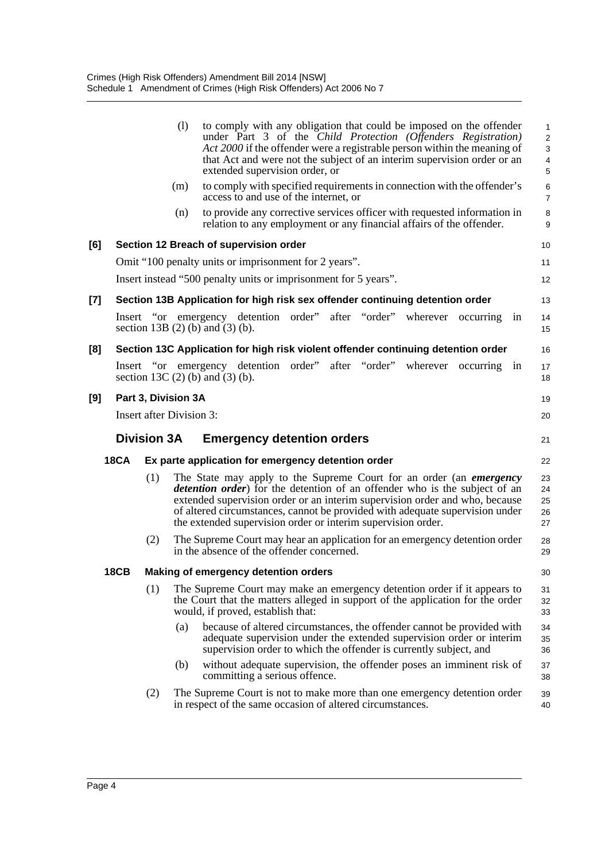|     |             |                                 | (1) | extended supervision order, or                                  |  |  |                                                                               | to comply with any obligation that could be imposed on the offender<br>under Part 3 of the Child Protection (Offenders Registration)<br>Act 2000 if the offender were a registrable person within the meaning of<br>that Act and were not the subject of an interim supervision order or an                      | 1<br>$\overline{c}$<br>3<br>$\overline{\mathbf{4}}$<br>5 |  |
|-----|-------------|---------------------------------|-----|-----------------------------------------------------------------|--|--|-------------------------------------------------------------------------------|------------------------------------------------------------------------------------------------------------------------------------------------------------------------------------------------------------------------------------------------------------------------------------------------------------------|----------------------------------------------------------|--|
|     |             |                                 | (m) | access to and use of the internet, or                           |  |  |                                                                               | to comply with specified requirements in connection with the offender's                                                                                                                                                                                                                                          | 6<br>$\overline{7}$                                      |  |
|     |             |                                 | (n) |                                                                 |  |  |                                                                               | to provide any corrective services officer with requested information in<br>relation to any employment or any financial affairs of the offender.                                                                                                                                                                 | $\bf 8$<br>9                                             |  |
| [6] |             |                                 |     | Section 12 Breach of supervision order                          |  |  |                                                                               |                                                                                                                                                                                                                                                                                                                  | 10                                                       |  |
|     |             |                                 |     | Omit "100 penalty units or imprisonment for 2 years".           |  |  |                                                                               |                                                                                                                                                                                                                                                                                                                  | 11                                                       |  |
|     |             |                                 |     | Insert instead "500 penalty units or imprisonment for 5 years". |  |  |                                                                               |                                                                                                                                                                                                                                                                                                                  | 12                                                       |  |
| [7] |             |                                 |     |                                                                 |  |  | Section 13B Application for high risk sex offender continuing detention order |                                                                                                                                                                                                                                                                                                                  | 13                                                       |  |
|     |             |                                 |     | section 13B $(2)$ (b) and $(3)$ (b).                            |  |  |                                                                               | Insert "or emergency detention order" after "order" wherever occurring                                                                                                                                                                                                                                           | 1n<br>14<br>15                                           |  |
| [8] |             |                                 |     |                                                                 |  |  |                                                                               | Section 13C Application for high risk violent offender continuing detention order                                                                                                                                                                                                                                | 16                                                       |  |
|     |             |                                 |     | section 13C $(2)$ (b) and $(3)$ (b).                            |  |  | Insert "or emergency detention order" after "order" wherever                  | occurring                                                                                                                                                                                                                                                                                                        | in<br>17<br>18                                           |  |
| [9] |             | Part 3, Division 3A             |     |                                                                 |  |  |                                                                               |                                                                                                                                                                                                                                                                                                                  | 19                                                       |  |
|     |             | <b>Insert after Division 3:</b> |     |                                                                 |  |  |                                                                               |                                                                                                                                                                                                                                                                                                                  | 20                                                       |  |
|     |             | <b>Division 3A</b>              |     | <b>Emergency detention orders</b>                               |  |  |                                                                               |                                                                                                                                                                                                                                                                                                                  | 21                                                       |  |
|     | <b>18CA</b> |                                 |     | Ex parte application for emergency detention order              |  |  |                                                                               |                                                                                                                                                                                                                                                                                                                  | 22                                                       |  |
|     |             | (1)                             |     | the extended supervision order or interim supervision order.    |  |  |                                                                               | The State may apply to the Supreme Court for an order (an emergency<br>detention order) for the detention of an offender who is the subject of an<br>extended supervision order or an interim supervision order and who, because<br>of altered circumstances, cannot be provided with adequate supervision under | 23<br>24<br>25<br>26<br>27                               |  |
|     |             | (2)                             |     | in the absence of the offender concerned.                       |  |  |                                                                               | The Supreme Court may hear an application for an emergency detention order                                                                                                                                                                                                                                       | 28<br>29                                                 |  |
|     | <b>18CB</b> |                                 |     | <b>Making of emergency detention orders</b>                     |  |  |                                                                               |                                                                                                                                                                                                                                                                                                                  | 30                                                       |  |
|     |             | (1)                             |     | would, if proved, establish that:                               |  |  |                                                                               | The Supreme Court may make an emergency detention order if it appears to<br>the Court that the matters alleged in support of the application for the order                                                                                                                                                       | 31<br>32<br>33                                           |  |
|     |             |                                 | (a) |                                                                 |  |  |                                                                               | because of altered circumstances, the offender cannot be provided with                                                                                                                                                                                                                                           | 34                                                       |  |
|     |             |                                 |     |                                                                 |  |  | supervision order to which the offender is currently subject, and             | adequate supervision under the extended supervision order or interim                                                                                                                                                                                                                                             | 35<br>36                                                 |  |
|     |             |                                 | (b) | committing a serious offence.                                   |  |  |                                                                               | without adequate supervision, the offender poses an imminent risk of                                                                                                                                                                                                                                             | 37<br>38                                                 |  |
|     |             | (2)                             |     | in respect of the same occasion of altered circumstances.       |  |  |                                                                               | The Supreme Court is not to make more than one emergency detention order                                                                                                                                                                                                                                         | 39<br>40                                                 |  |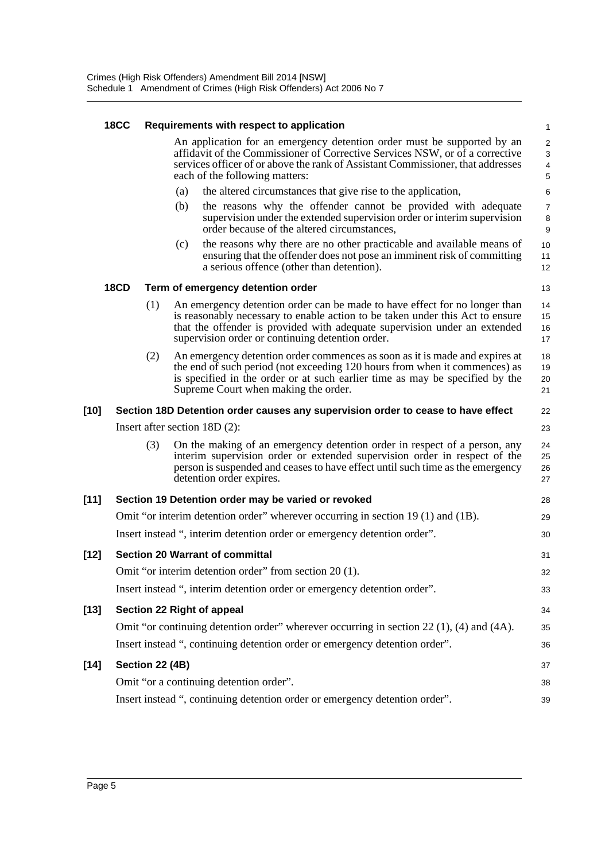|        | <b>18CC</b> |                 |     | Requirements with respect to application                                                                                                                                                                                                                                                     | 1                                                            |
|--------|-------------|-----------------|-----|----------------------------------------------------------------------------------------------------------------------------------------------------------------------------------------------------------------------------------------------------------------------------------------------|--------------------------------------------------------------|
|        |             |                 |     | An application for an emergency detention order must be supported by an<br>affidavit of the Commissioner of Corrective Services NSW, or of a corrective<br>services officer of or above the rank of Assistant Commissioner, that addresses<br>each of the following matters:                 | $\overline{c}$<br>$\sqrt{3}$<br>$\overline{\mathbf{4}}$<br>5 |
|        |             |                 | (a) | the altered circumstances that give rise to the application,                                                                                                                                                                                                                                 | 6                                                            |
|        |             |                 | (b) | the reasons why the offender cannot be provided with adequate<br>supervision under the extended supervision order or interim supervision<br>order because of the altered circumstances,                                                                                                      | 7<br>8<br>9                                                  |
|        |             |                 | (c) | the reasons why there are no other practicable and available means of<br>ensuring that the offender does not pose an imminent risk of committing<br>a serious offence (other than detention).                                                                                                | 10<br>11<br>12                                               |
|        | <b>18CD</b> |                 |     | Term of emergency detention order                                                                                                                                                                                                                                                            | 13                                                           |
|        |             | (1)             |     | An emergency detention order can be made to have effect for no longer than<br>is reasonably necessary to enable action to be taken under this Act to ensure<br>that the offender is provided with adequate supervision under an extended<br>supervision order or continuing detention order. | 14<br>15<br>16<br>17                                         |
|        |             | (2)             |     | An emergency detention order commences as soon as it is made and expires at<br>the end of such period (not exceeding 120 hours from when it commences) as<br>is specified in the order or at such earlier time as may be specified by the<br>Supreme Court when making the order.            | 18<br>19<br>20<br>21                                         |
| [10]   |             |                 |     | Section 18D Detention order causes any supervision order to cease to have effect                                                                                                                                                                                                             | 22                                                           |
|        |             |                 |     | Insert after section $18D(2)$ :                                                                                                                                                                                                                                                              | 23                                                           |
|        |             | (3)             |     | On the making of an emergency detention order in respect of a person, any<br>interim supervision order or extended supervision order in respect of the<br>person is suspended and ceases to have effect until such time as the emergency<br>detention order expires.                         | 24<br>25<br>26<br>27                                         |
| $[11]$ |             |                 |     | Section 19 Detention order may be varied or revoked                                                                                                                                                                                                                                          | 28                                                           |
|        |             |                 |     | Omit "or interim detention order" wherever occurring in section $19(1)$ and $(1B)$ .                                                                                                                                                                                                         | 29                                                           |
|        |             |                 |     | Insert instead ", interim detention order or emergency detention order".                                                                                                                                                                                                                     | 30                                                           |
| $[12]$ |             |                 |     | <b>Section 20 Warrant of committal</b>                                                                                                                                                                                                                                                       | 31                                                           |
|        |             |                 |     | Omit "or interim detention order" from section 20 (1).                                                                                                                                                                                                                                       | 32                                                           |
|        |             |                 |     | Insert instead ", interim detention order or emergency detention order".                                                                                                                                                                                                                     | 33                                                           |
| $[13]$ |             |                 |     | Section 22 Right of appeal                                                                                                                                                                                                                                                                   | 34                                                           |
|        |             |                 |     | Omit "or continuing detention order" wherever occurring in section 22 $(1)$ , (4) and (4A).                                                                                                                                                                                                  | 35                                                           |
|        |             |                 |     | Insert instead ", continuing detention order or emergency detention order".                                                                                                                                                                                                                  | 36                                                           |
| $[14]$ |             | Section 22 (4B) |     |                                                                                                                                                                                                                                                                                              | 37                                                           |
|        |             |                 |     | Omit "or a continuing detention order".                                                                                                                                                                                                                                                      | 38                                                           |
|        |             |                 |     | Insert instead ", continuing detention order or emergency detention order".                                                                                                                                                                                                                  | 39                                                           |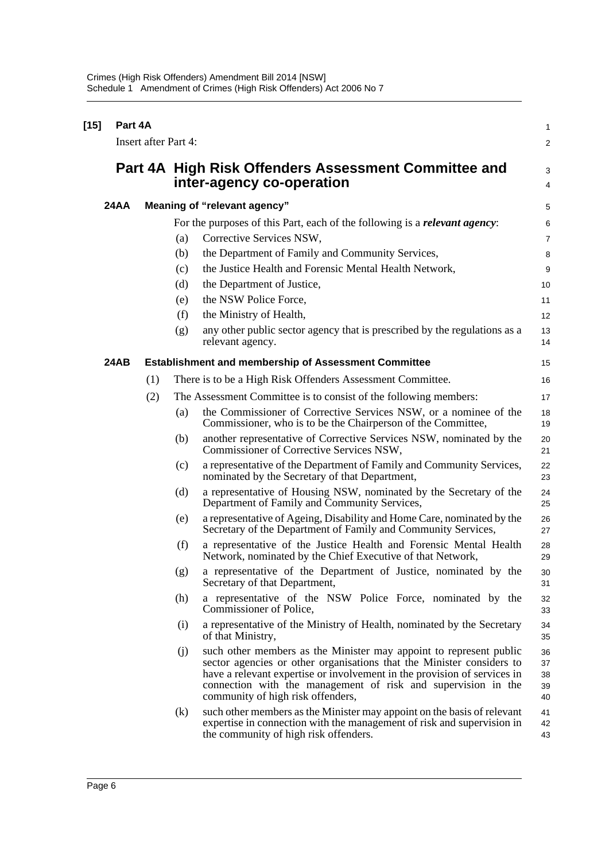| $[15]$ |             | Part 4A                     |     |                                                                                                                                                                                                                                                                                                                               |                            |  |  |  |  |
|--------|-------------|-----------------------------|-----|-------------------------------------------------------------------------------------------------------------------------------------------------------------------------------------------------------------------------------------------------------------------------------------------------------------------------------|----------------------------|--|--|--|--|
|        |             | <b>Insert after Part 4:</b> |     |                                                                                                                                                                                                                                                                                                                               | $\overline{c}$             |  |  |  |  |
|        |             |                             |     | Part 4A High Risk Offenders Assessment Committee and<br>inter-agency co-operation                                                                                                                                                                                                                                             | 3<br>4                     |  |  |  |  |
|        | <b>24AA</b> |                             |     | Meaning of "relevant agency"                                                                                                                                                                                                                                                                                                  | 5                          |  |  |  |  |
|        |             |                             |     | For the purposes of this Part, each of the following is a <i>relevant agency</i> :                                                                                                                                                                                                                                            | 6                          |  |  |  |  |
|        |             |                             | (a) | Corrective Services NSW,                                                                                                                                                                                                                                                                                                      | 7                          |  |  |  |  |
|        |             |                             | (b) | the Department of Family and Community Services,                                                                                                                                                                                                                                                                              | 8                          |  |  |  |  |
|        |             |                             | (c) | the Justice Health and Forensic Mental Health Network,                                                                                                                                                                                                                                                                        | 9                          |  |  |  |  |
|        |             |                             | (d) | the Department of Justice,                                                                                                                                                                                                                                                                                                    | 10                         |  |  |  |  |
|        |             |                             | (e) | the NSW Police Force,                                                                                                                                                                                                                                                                                                         | 11                         |  |  |  |  |
|        |             |                             | (f) | the Ministry of Health,                                                                                                                                                                                                                                                                                                       | 12                         |  |  |  |  |
|        |             |                             | (g) | any other public sector agency that is prescribed by the regulations as a<br>relevant agency.                                                                                                                                                                                                                                 | 13<br>14                   |  |  |  |  |
|        | 24AB        |                             |     | <b>Establishment and membership of Assessment Committee</b>                                                                                                                                                                                                                                                                   | 15                         |  |  |  |  |
|        |             | (1)                         |     | There is to be a High Risk Offenders Assessment Committee.                                                                                                                                                                                                                                                                    | 16                         |  |  |  |  |
|        |             | (2)                         |     | The Assessment Committee is to consist of the following members:                                                                                                                                                                                                                                                              | 17                         |  |  |  |  |
|        |             |                             | (a) | the Commissioner of Corrective Services NSW, or a nominee of the<br>Commissioner, who is to be the Chairperson of the Committee,                                                                                                                                                                                              | 18<br>19                   |  |  |  |  |
|        |             |                             | (b) | another representative of Corrective Services NSW, nominated by the<br>Commissioner of Corrective Services NSW,                                                                                                                                                                                                               | 20<br>21                   |  |  |  |  |
|        |             |                             | (c) | a representative of the Department of Family and Community Services,<br>nominated by the Secretary of that Department,                                                                                                                                                                                                        | 22<br>23                   |  |  |  |  |
|        |             |                             | (d) | a representative of Housing NSW, nominated by the Secretary of the<br>Department of Family and Community Services,                                                                                                                                                                                                            | 24<br>25                   |  |  |  |  |
|        |             |                             | (e) | a representative of Ageing, Disability and Home Care, nominated by the<br>Secretary of the Department of Family and Community Services,                                                                                                                                                                                       | 26<br>27                   |  |  |  |  |
|        |             |                             | (f) | a representative of the Justice Health and Forensic Mental Health<br>Network, nominated by the Chief Executive of that Network,                                                                                                                                                                                               | 28<br>29                   |  |  |  |  |
|        |             |                             | (g) | a representative of the Department of Justice, nominated by the<br>Secretary of that Department,                                                                                                                                                                                                                              | 30<br>31                   |  |  |  |  |
|        |             |                             | (h) | a representative of the NSW Police Force, nominated by the<br>Commissioner of Police,                                                                                                                                                                                                                                         | 32<br>33                   |  |  |  |  |
|        |             |                             | (i) | a representative of the Ministry of Health, nominated by the Secretary<br>of that Ministry,                                                                                                                                                                                                                                   | 34<br>35                   |  |  |  |  |
|        |             |                             | (j) | such other members as the Minister may appoint to represent public<br>sector agencies or other organisations that the Minister considers to<br>have a relevant expertise or involvement in the provision of services in<br>connection with the management of risk and supervision in the<br>community of high risk offenders, | 36<br>37<br>38<br>39<br>40 |  |  |  |  |
|        |             |                             | (k) | such other members as the Minister may appoint on the basis of relevant<br>expertise in connection with the management of risk and supervision in<br>the community of high risk offenders.                                                                                                                                    | 41<br>42<br>43             |  |  |  |  |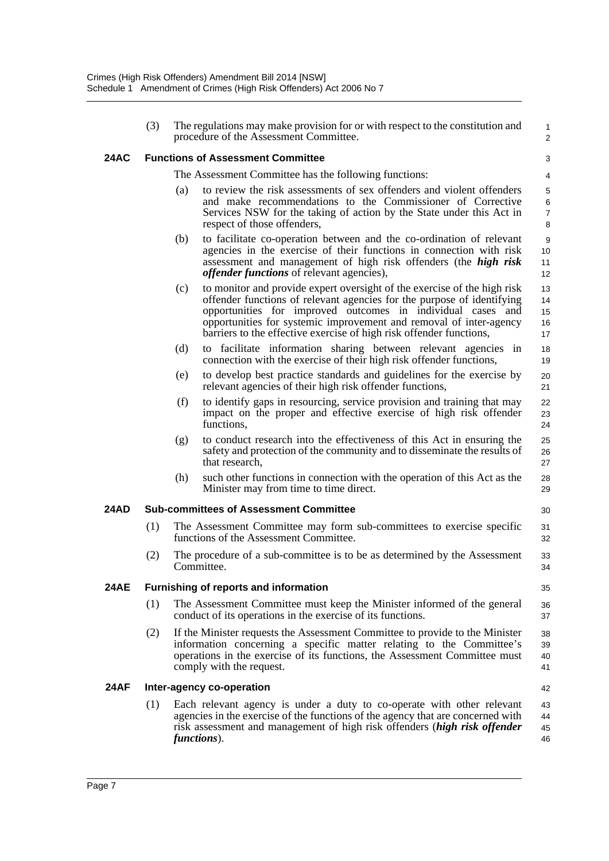|      | (3) | The regulations may make provision for or with respect to the constitution and<br>procedure of the Assessment Committee.                                                                                                                                                                                                                                              | 1<br>$\overline{c}$        |
|------|-----|-----------------------------------------------------------------------------------------------------------------------------------------------------------------------------------------------------------------------------------------------------------------------------------------------------------------------------------------------------------------------|----------------------------|
| 24AC |     | <b>Functions of Assessment Committee</b>                                                                                                                                                                                                                                                                                                                              | 3                          |
|      |     | The Assessment Committee has the following functions:                                                                                                                                                                                                                                                                                                                 | 4                          |
|      |     | to review the risk assessments of sex offenders and violent offenders<br>(a)<br>and make recommendations to the Commissioner of Corrective<br>Services NSW for the taking of action by the State under this Act in<br>respect of those offenders,                                                                                                                     | 5<br>6<br>7<br>8           |
|      |     | to facilitate co-operation between and the co-ordination of relevant<br>(b)<br>agencies in the exercise of their functions in connection with risk<br>assessment and management of high risk offenders (the high risk<br><i>offender functions</i> of relevant agencies),                                                                                             | 9<br>10<br>11<br>12        |
|      |     | to monitor and provide expert oversight of the exercise of the high risk<br>(c)<br>offender functions of relevant agencies for the purpose of identifying<br>opportunities for improved outcomes in individual cases and<br>opportunities for systemic improvement and removal of inter-agency<br>barriers to the effective exercise of high risk offender functions, | 13<br>14<br>15<br>16<br>17 |
|      |     | (d)<br>to facilitate information sharing between relevant agencies<br>in<br>connection with the exercise of their high risk offender functions,                                                                                                                                                                                                                       | 18<br>19                   |
|      |     | to develop best practice standards and guidelines for the exercise by<br>(e)<br>relevant agencies of their high risk offender functions,                                                                                                                                                                                                                              | 20<br>21                   |
|      |     | (f)<br>to identify gaps in resourcing, service provision and training that may<br>impact on the proper and effective exercise of high risk offender<br>functions,                                                                                                                                                                                                     | 22<br>23<br>24             |
|      |     | to conduct research into the effectiveness of this Act in ensuring the<br>(g)<br>safety and protection of the community and to disseminate the results of<br>that research,                                                                                                                                                                                           | 25<br>26<br>27             |
|      |     | (h)<br>such other functions in connection with the operation of this Act as the<br>Minister may from time to time direct.                                                                                                                                                                                                                                             | 28<br>29                   |
| 24AD |     | <b>Sub-committees of Assessment Committee</b>                                                                                                                                                                                                                                                                                                                         | 30                         |
|      | (1) | The Assessment Committee may form sub-committees to exercise specific<br>functions of the Assessment Committee.                                                                                                                                                                                                                                                       | 31<br>32                   |
|      | (2) | The procedure of a sub-committee is to be as determined by the Assessment<br>Committee.                                                                                                                                                                                                                                                                               | 33<br>34                   |
| 24AE |     | Furnishing of reports and information                                                                                                                                                                                                                                                                                                                                 | 35                         |
|      | (1) | The Assessment Committee must keep the Minister informed of the general<br>conduct of its operations in the exercise of its functions.                                                                                                                                                                                                                                | 36<br>37                   |
|      | (2) | If the Minister requests the Assessment Committee to provide to the Minister<br>information concerning a specific matter relating to the Committee's<br>operations in the exercise of its functions, the Assessment Committee must<br>comply with the request.                                                                                                        | 38<br>39<br>40<br>41       |
| 24AF |     | Inter-agency co-operation                                                                                                                                                                                                                                                                                                                                             | 42                         |
|      | (1) | Each relevant agency is under a duty to co-operate with other relevant<br>agencies in the exercise of the functions of the agency that are concerned with<br>risk assessment and management of high risk offenders (high risk offender<br>functions).                                                                                                                 | 43<br>44<br>45<br>46       |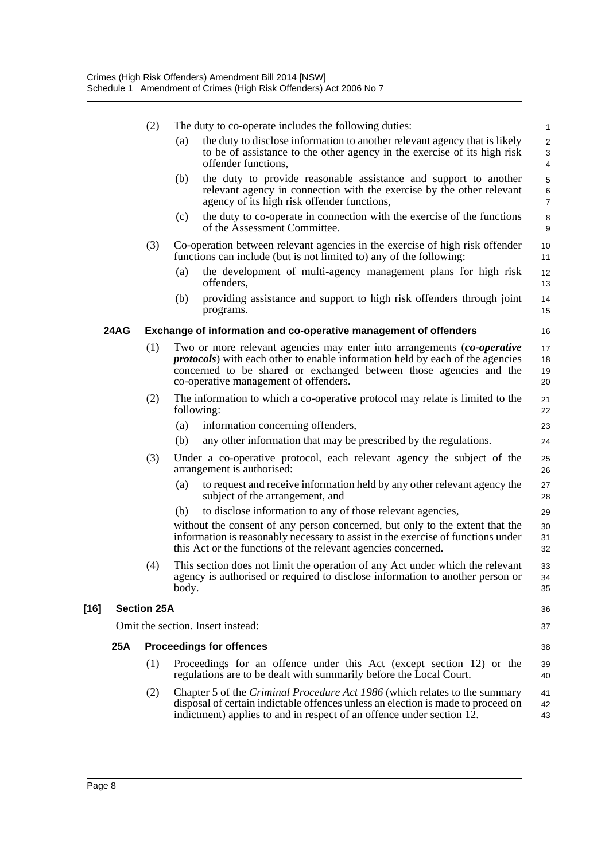|      | (2)                |       | The duty to co-operate includes the following duties:                                                                                                                                                                                                                           | 1                                 |
|------|--------------------|-------|---------------------------------------------------------------------------------------------------------------------------------------------------------------------------------------------------------------------------------------------------------------------------------|-----------------------------------|
|      |                    | (a)   | the duty to disclose information to another relevant agency that is likely<br>to be of assistance to the other agency in the exercise of its high risk<br>offender functions.                                                                                                   | $\overline{\mathbf{c}}$<br>3<br>4 |
|      |                    | (b)   | the duty to provide reasonable assistance and support to another<br>relevant agency in connection with the exercise by the other relevant<br>agency of its high risk offender functions,                                                                                        | 5<br>6<br>7                       |
|      |                    | (c)   | the duty to co-operate in connection with the exercise of the functions<br>of the Assessment Committee.                                                                                                                                                                         | 8<br>9                            |
|      | (3)                |       | Co-operation between relevant agencies in the exercise of high risk offender<br>functions can include (but is not limited to) any of the following:                                                                                                                             | 10<br>11                          |
|      |                    | (a)   | the development of multi-agency management plans for high risk<br>offenders,                                                                                                                                                                                                    | 12<br>13                          |
|      |                    | (b)   | providing assistance and support to high risk offenders through joint<br>programs.                                                                                                                                                                                              | 14<br>15                          |
| 24AG |                    |       | Exchange of information and co-operative management of offenders                                                                                                                                                                                                                | 16                                |
|      | (1)                |       | Two or more relevant agencies may enter into arrangements (co-operative<br><i>protocols</i> ) with each other to enable information held by each of the agencies<br>concerned to be shared or exchanged between those agencies and the<br>co-operative management of offenders. | 17<br>18<br>19<br>20              |
|      | (2)                |       | The information to which a co-operative protocol may relate is limited to the<br>following:                                                                                                                                                                                     | 21<br>22                          |
|      |                    | (a)   | information concerning offenders,                                                                                                                                                                                                                                               | 23                                |
|      |                    | (b)   | any other information that may be prescribed by the regulations.                                                                                                                                                                                                                | 24                                |
|      | (3)                |       | Under a co-operative protocol, each relevant agency the subject of the<br>arrangement is authorised:                                                                                                                                                                            | 25<br>26                          |
|      |                    | (a)   | to request and receive information held by any other relevant agency the<br>subject of the arrangement, and                                                                                                                                                                     | 27<br>28                          |
|      |                    | (b)   | to disclose information to any of those relevant agencies,                                                                                                                                                                                                                      | 29                                |
|      |                    |       | without the consent of any person concerned, but only to the extent that the<br>information is reasonably necessary to assist in the exercise of functions under<br>this Act or the functions of the relevant agencies concerned.                                               | 30<br>31<br>32                    |
|      | (4)                | body. | This section does not limit the operation of any Act under which the relevant<br>agency is authorised or required to disclose information to another person or                                                                                                                  | 33<br>34<br>35                    |
|      | <b>Section 25A</b> |       |                                                                                                                                                                                                                                                                                 | 36                                |
|      |                    |       | Omit the section. Insert instead:                                                                                                                                                                                                                                               | 37                                |
| 25A  |                    |       | <b>Proceedings for offences</b>                                                                                                                                                                                                                                                 | 38                                |
|      | (1)                |       | Proceedings for an offence under this Act (except section 12) or the<br>regulations are to be dealt with summarily before the Local Court.                                                                                                                                      | 39<br>40                          |
|      | (2)                |       | Chapter 5 of the <i>Criminal Procedure Act 1986</i> (which relates to the summary<br>disposal of certain indictable offences unless an election is made to proceed on<br>indictment) applies to and in respect of an offence under section 12.                                  | 41<br>42<br>43                    |

**[16]**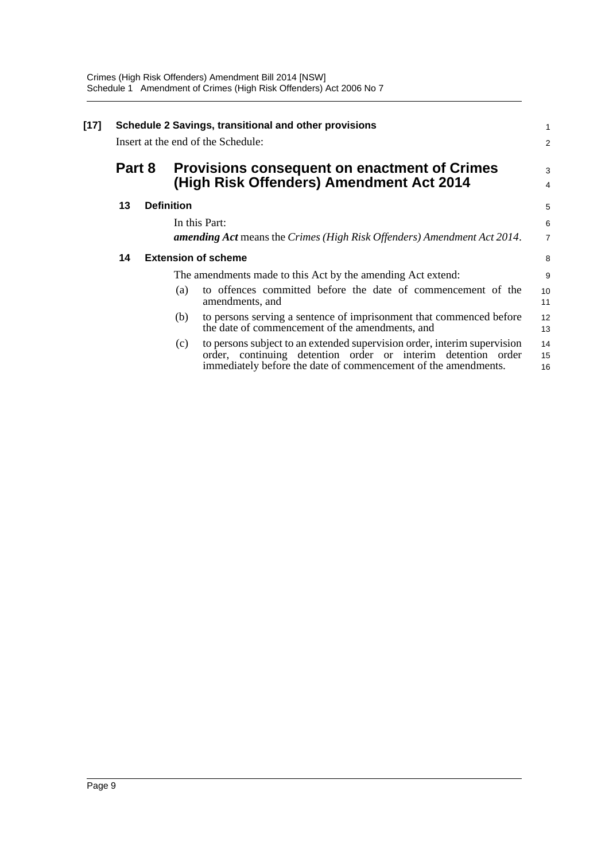| $[17]$ | Schedule 2 Savings, transitional and other provisions<br>Insert at the end of the Schedule: |  |                   |                                                                                                                                                                                                            |                |  |  |  |
|--------|---------------------------------------------------------------------------------------------|--|-------------------|------------------------------------------------------------------------------------------------------------------------------------------------------------------------------------------------------------|----------------|--|--|--|
|        | Part 8                                                                                      |  |                   | <b>Provisions consequent on enactment of Crimes</b><br>(High Risk Offenders) Amendment Act 2014                                                                                                            |                |  |  |  |
|        | 13                                                                                          |  | <b>Definition</b> |                                                                                                                                                                                                            | 5              |  |  |  |
|        |                                                                                             |  |                   | In this Part:                                                                                                                                                                                              | 6              |  |  |  |
|        |                                                                                             |  |                   | <b>amending Act</b> means the Crimes (High Risk Offenders) Amendment Act 2014.                                                                                                                             | 7              |  |  |  |
|        | 14                                                                                          |  |                   | <b>Extension of scheme</b>                                                                                                                                                                                 | 8              |  |  |  |
|        |                                                                                             |  |                   | The amendments made to this Act by the amending Act extend:                                                                                                                                                | 9              |  |  |  |
|        |                                                                                             |  | (a)               | to offences committed before the date of commencement of the<br>amendments, and                                                                                                                            | 10<br>11       |  |  |  |
|        |                                                                                             |  | (b)               | to persons serving a sentence of imprisonment that commenced before<br>the date of commencement of the amendments, and                                                                                     | 12<br>13       |  |  |  |
|        |                                                                                             |  | (c)               | to persons subject to an extended supervision order, interim supervision<br>order, continuing detention order or interim detention order<br>immediately before the date of commencement of the amendments. | 14<br>15<br>16 |  |  |  |